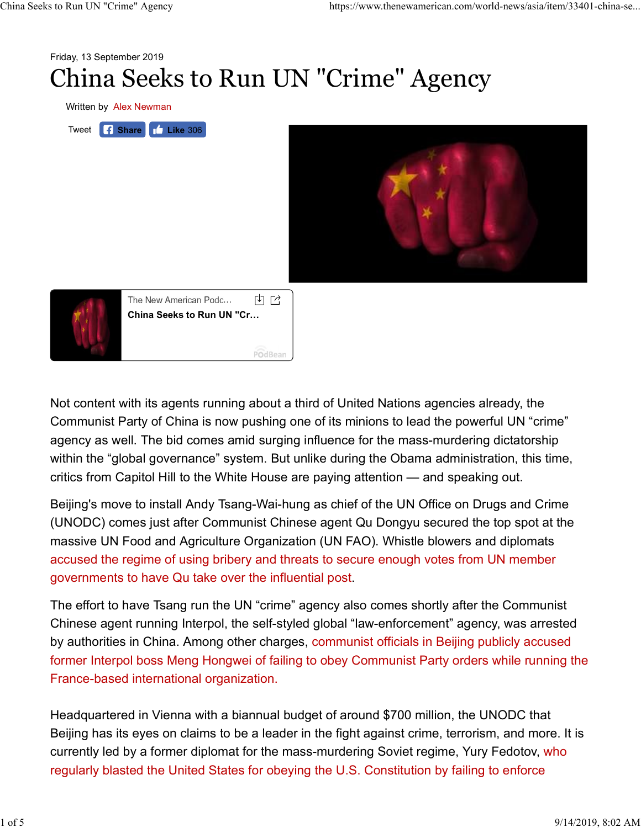

Not content with its agents running about a third of United Nations agencies already, the Communist Party of China is now pushing one of its minions to lead the powerful UN "crime" agency as well. The bid comes amid surging influence for the mass-murdering dictatorship within the "global governance" system. But unlike during the Obama administration, this time, critics from Capitol Hill to the White House are paying attention — and speaking out.

Beijing's move to install Andy Tsang-Wai-hung as chief of the UN Office on Drugs and Crime (UNODC) comes just after Communist Chinese agent Qu Dongyu secured the top spot at the massive UN Food and Agriculture Organization (UN FAO). Whistle blowers and diplomats accused the regime of using bribery and threats to secure enough votes from UN member governments to have Qu take over the influential post.

The effort to have Tsang run the UN "crime" agency also comes shortly after the Communist Chinese agent running Interpol, the self-styled global "law-enforcement" agency, was arrested by authorities in China. Among other charges, communist officials in Beijing publicly accused former Interpol boss Meng Hongwei of failing to obey Communist Party orders while running the France-based international organization.

Headquartered in Vienna with a biannual budget of around \$700 million, the UNODC that Beijing has its eyes on claims to be a leader in the fight against crime, terrorism, and more. It is currently led by a former diplomat for the mass-murdering Soviet regime, Yury Fedotov, who regularly blasted the United States for obeying the U.S. Constitution by failing to enforce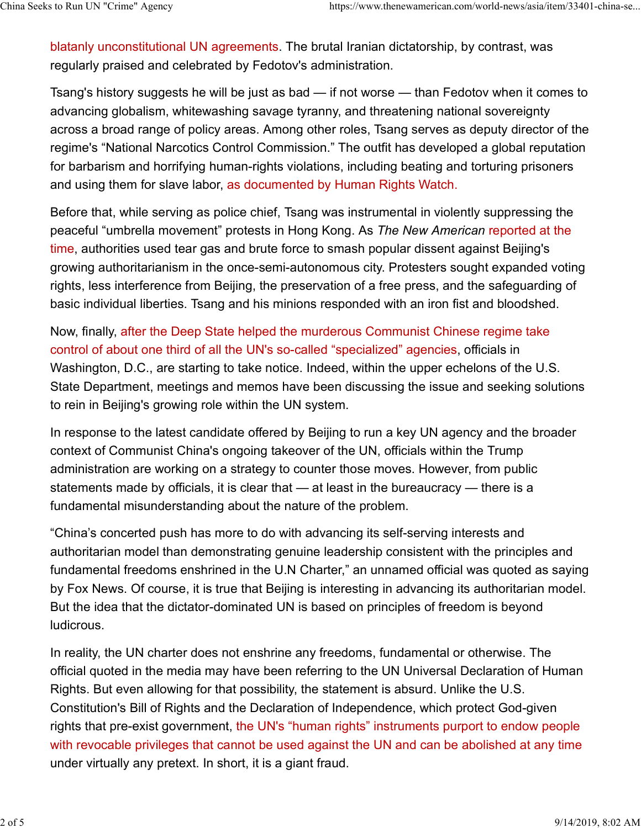blatanly unconstitutional UN agreements. The brutal Iranian dictatorship, by contrast, was regularly praised and celebrated by Fedotov's administration. China Seeks to Run UN "Crime" Agency https://www.thenewamerican.com/world-news/asia/item/33401-china-se...<br>blatanly unconstitutional UN agreements. The brutal Iranian dictatorship, by contrast, was<br>regularly praised and ce

Tsang's history suggests he will be just as bad — if not worse — than Fedotov when it comes to advancing globalism, whitewashing savage tyranny, and threatening national sovereignty across a broad range of policy areas. Among other roles, Tsang serves as deputy director of the regime's "National Narcotics Control Commission." The outfit has developed a global reputation for barbarism and horrifying human-rights violations, including beating and torturing prisoners and using them for slave labor, as documented by Human Rights Watch.

Before that, while serving as police chief, Tsang was instrumental in violently suppressing the peaceful "umbrella movement" protests in Hong Kong. As The New American reported at the time, authorities used tear gas and brute force to smash popular dissent against Beijing's growing authoritarianism in the once-semi-autonomous city. Protesters sought expanded voting rights, less interference from Beijing, the preservation of a free press, and the safeguarding of basic individual liberties. Tsang and his minions responded with an iron fist and bloodshed.

Now, finally, after the Deep State helped the murderous Communist Chinese regime take control of about one third of all the UN's so-called "specialized" agencies, officials in Washington, D.C., are starting to take notice. Indeed, within the upper echelons of the U.S. State Department, meetings and memos have been discussing the issue and seeking solutions to rein in Beijing's growing role within the UN system.

In response to the latest candidate offered by Beijing to run a key UN agency and the broader context of Communist China's ongoing takeover of the UN, officials within the Trump administration are working on a strategy to counter those moves. However, from public statements made by officials, it is clear that — at least in the bureaucracy — there is a fundamental misunderstanding about the nature of the problem.

"China's concerted push has more to do with advancing its self-serving interests and authoritarian model than demonstrating genuine leadership consistent with the principles and fundamental freedoms enshrined in the U.N Charter," an unnamed official was quoted as saying by Fox News. Of course, it is true that Beijing is interesting in advancing its authoritarian model. But the idea that the dictator-dominated UN is based on principles of freedom is beyond ludicrous.

In reality, the UN charter does not enshrine any freedoms, fundamental or otherwise. The official quoted in the media may have been referring to the UN Universal Declaration of Human Rights. But even allowing for that possibility, the statement is absurd. Unlike the U.S. Constitution's Bill of Rights and the Declaration of Independence, which protect God-given rights that pre-exist government, the UN's "human rights" instruments purport to endow people with revocable privileges that cannot be used against the UN and can be abolished at any time under virtually any pretext. In short, it is a giant fraud.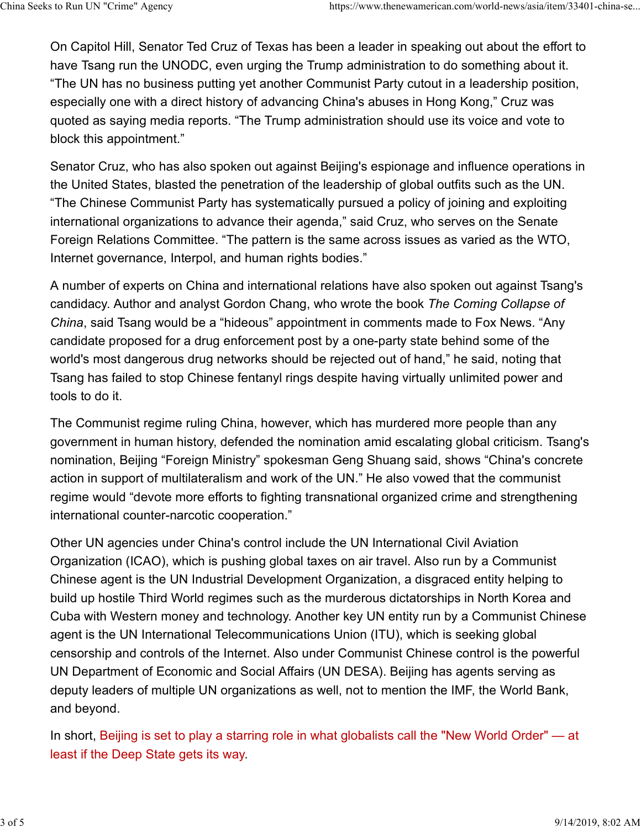On Capitol Hill, Senator Ted Cruz of Texas has been a leader in speaking out about the effort to have Tsang run the UNODC, even urging the Trump administration to do something about it. "The UN has no business putting yet another Communist Party cutout in a leadership position, especially one with a direct history of advancing China's abuses in Hong Kong," Cruz was quoted as saying media reports. "The Trump administration should use its voice and vote to block this appointment." China Seeks to Run UN "Crime" Agency https://www.thenewamerican.com/world-news/asia/item/33401-china-se...<br>On Capitol Hill, Senator Ted Cruz of Texas has been a leader in speaking out about the effort to<br>have Tsang run the

Senator Cruz, who has also spoken out against Beijing's espionage and influence operations in the United States, blasted the penetration of the leadership of global outfits such as the UN. "The Chinese Communist Party has systematically pursued a policy of joining and exploiting international organizations to advance their agenda," said Cruz, who serves on the Senate Foreign Relations Committee. "The pattern is the same across issues as varied as the WTO, Internet governance, Interpol, and human rights bodies."

A number of experts on China and international relations have also spoken out against Tsang's candidacy. Author and analyst Gordon Chang, who wrote the book The Coming Collapse of China, said Tsang would be a "hideous" appointment in comments made to Fox News. "Any candidate proposed for a drug enforcement post by a one-party state behind some of the world's most dangerous drug networks should be rejected out of hand," he said, noting that Tsang has failed to stop Chinese fentanyl rings despite having virtually unlimited power and tools to do it.

The Communist regime ruling China, however, which has murdered more people than any government in human history, defended the nomination amid escalating global criticism. Tsang's nomination, Beijing "Foreign Ministry" spokesman Geng Shuang said, shows "China's concrete action in support of multilateralism and work of the UN." He also vowed that the communist regime would "devote more efforts to fighting transnational organized crime and strengthening international counter-narcotic cooperation."

Other UN agencies under China's control include the UN International Civil Aviation Organization (ICAO), which is pushing global taxes on air travel. Also run by a Communist Chinese agent is the UN Industrial Development Organization, a disgraced entity helping to build up hostile Third World regimes such as the murderous dictatorships in North Korea and Cuba with Western money and technology. Another key UN entity run by a Communist Chinese agent is the UN International Telecommunications Union (ITU), which is seeking global censorship and controls of the Internet. Also under Communist Chinese control is the powerful UN Department of Economic and Social Affairs (UN DESA). Beijing has agents serving as deputy leaders of multiple UN organizations as well, not to mention the IMF, the World Bank, and beyond.

In short, Beijing is set to play a starring role in what globalists call the "New World Order" — at least if the Deep State gets its way.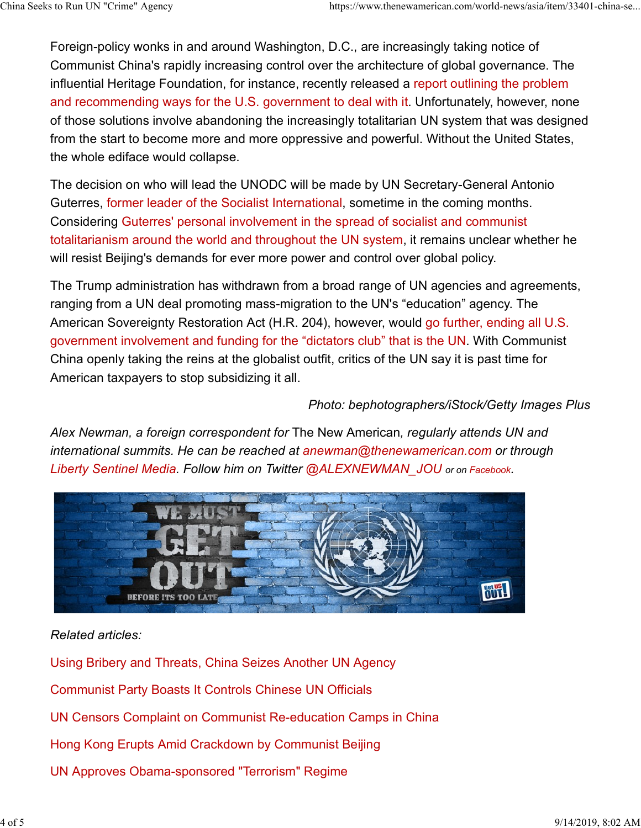Foreign-policy wonks in and around Washington, D.C., are increasingly taking notice of Communist China's rapidly increasing control over the architecture of global governance. The influential Heritage Foundation, for instance, recently released a report outlining the problem and recommending ways for the U.S. government to deal with it. Unfortunately, however, none of those solutions involve abandoning the increasingly totalitarian UN system that was designed from the start to become more and more oppressive and powerful. Without the United States, the whole ediface would collapse. China Seeks to Run UN "Crime" Agency https://www.thenewamerican.com/world-news/asia/item/33401-china-se...<br>Foreign-policy wonks in and around Washington, D.C., are increasingly taking notice of<br>Communist China's rapidly in

The decision on who will lead the UNODC will be made by UN Secretary-General Antonio Guterres, former leader of the Socialist International, sometime in the coming months. Considering Guterres' personal involvement in the spread of socialist and communist totalitarianism around the world and throughout the UN system, it remains unclear whether he will resist Beijing's demands for ever more power and control over global policy.

The Trump administration has withdrawn from a broad range of UN agencies and agreements, ranging from a UN deal promoting mass-migration to the UN's "education" agency. The American Sovereignty Restoration Act (H.R. 204), however, would go further, ending all U.S. government involvement and funding for the "dictators club" that is the UN. With Communist China openly taking the reins at the globalist outfit, critics of the UN say it is past time for American taxpayers to stop subsidizing it all.

## Photo: bephotographers/iStock/Getty Images Plus

Alex Newman, a foreign correspondent for The New American, regularly attends UN and international summits. He can be reached at anewman@thenewamerican.com or through Liberty Sentinel Media. Follow him on Twitter @ALEXNEWMAN\_JOU or on Facebook.



## Related articles:

Using Bribery and Threats, China Seizes Another UN Agency Communist Party Boasts It Controls Chinese UN Officials UN Censors Complaint on Communist Re-education Camps in China Hong Kong Erupts Amid Crackdown by Communist Beijing UN Approves Obama-sponsored "Terrorism" Regime